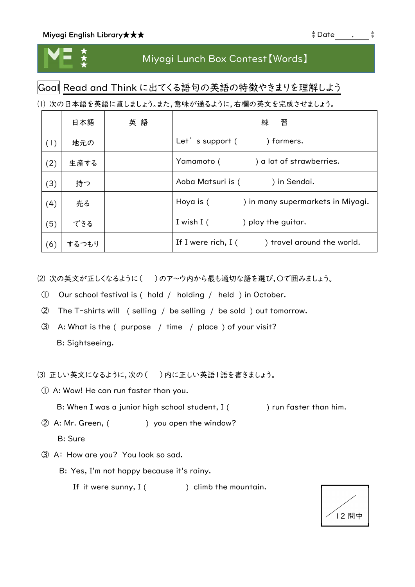

## Miyagi Lunch Box Contest【Words】

## Goal Read and Think に出てくる語句の英語の特徴やきまりを理解しよう

⑴ 次の日本語を英語に直しましょう。また,意味が通るように,右欄の英文を完成させましょう。

|     | 日本語   | 英語 | 習<br>練                                             |
|-----|-------|----|----------------------------------------------------|
| (1) | 地元の   |    | Let's support (<br>) farmers.                      |
| (2) | 生産する  |    | Yamamoto (<br>) a lot of strawberries.             |
| (3) | 持つ    |    | Aoba Matsuri is (<br>) in Sendai.                  |
| (4) | 売る    |    | ) in many supermarkets in Miyagi.<br>Hoya is (     |
| (5) | できる   |    | I wish I (<br>) play the guitar.                   |
| (6) | するつもり |    | If I were rich, $I($<br>) travel around the world. |

(2) 次の英文が正しくなるように() )のア~ウ内から最も適切な語を選び、○で囲みましょう。

- ① Our school festival is ( hold / holding / held ) in October.
- ② The T-shirts will ( selling / be selling / be sold ) out tomorrow.
- ③ A: What is the ( purpose / time / place ) of your visit? B: Sightseeing.

⑶ 正しい英文になるように,次の( )内に正しい英語1語を書きましょう。

① A: Wow! He can run faster than you.

B: When I was a junior high school student, I ( ) run faster than him.

2 A: Mr. Green, () you open the window?

B: Sure

③ A: How are you? You look so sad.

B: Yes, I'm not happy because it's rainy.

If it were sunny,  $I($  ) climb the mountain.

| 2 問中 |  |
|------|--|